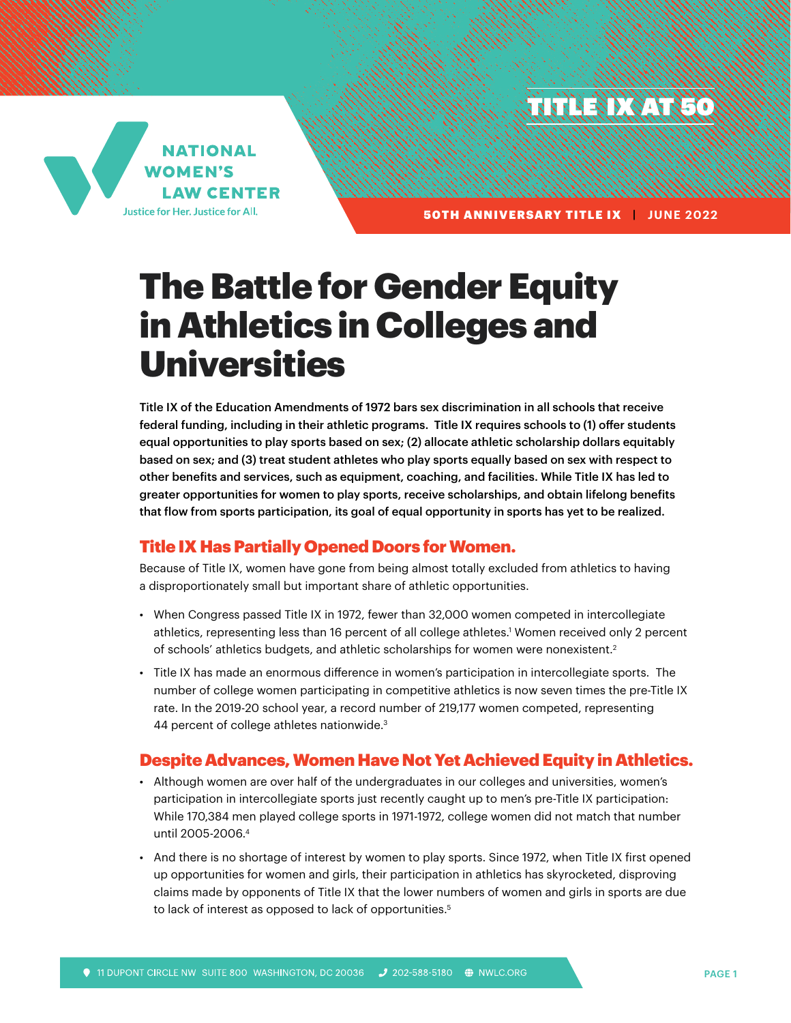TITLE IX



50TH ANNIVERSARY TITLE IX **| JUNE 2022** 

# The Battle for Gender Equity in Athletics in Colleges and Universities

Title IX of the Education Amendments of 1972 bars sex discrimination in all schools that receive federal funding, including in their athletic programs. Title IX requires schools to (1) offer students equal opportunities to play sports based on sex; (2) allocate athletic scholarship dollars equitably based on sex; and (3) treat student athletes who play sports equally based on sex with respect to other benefits and services, such as equipment, coaching, and facilities. While Title IX has led to greater opportunities for women to play sports, receive scholarships, and obtain lifelong benefits that flow from sports participation, its goal of equal opportunity in sports has yet to be realized.

# Title IX Has Partially Opened Doors for Women.

Because of Title IX, women have gone from being almost totally excluded from athletics to having a disproportionately small but important share of athletic opportunities.

- When Congress passed Title IX in 1972, fewer than 32,000 women competed in intercollegiate athletics, representing less than 16 percent of all college athletes.' Women received only 2 percent of schools' athletics budgets, and athletic scholarships for women were nonexistent.2
- Title IX has made an enormous difference in women's participation in intercollegiate sports. The number of college women participating in competitive athletics is now seven times the pre-Title IX rate. In the 2019-20 school year, a record number of 219,177 women competed, representing 44 percent of college athletes nationwide.3

# Despite Advances, Women Have Not Yet Achieved Equity in Athletics.

- Although women are over half of the undergraduates in our colleges and universities, women's participation in intercollegiate sports just recently caught up to men's pre-Title IX participation: While 170,384 men played college sports in 1971-1972, college women did not match that number until 2005-2006.4
- And there is no shortage of interest by women to play sports. Since 1972, when Title IX first opened up opportunities for women and girls, their participation in athletics has skyrocketed, disproving claims made by opponents of Title IX that the lower numbers of women and girls in sports are due to lack of interest as opposed to lack of opportunities.<sup>5</sup>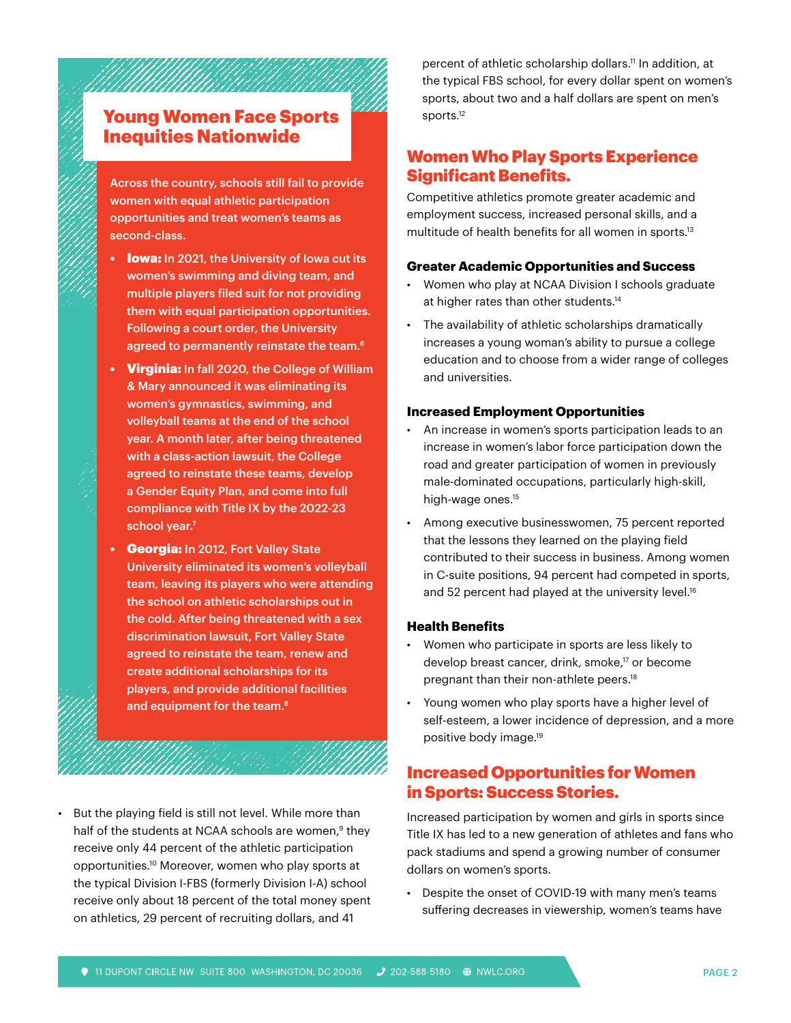# Young Women Face Sports Inequities Nationwide

Across the country, schools still fail to provide women with equal athletic participation opportunities and treat women's teams as second-class.

- **lowa:** In 2021, the University of Iowa cut its women's swimming and diving team, and multiple players filed suit for not providing them with equal participation opportunities. Following a court order, the University agreed to permanently reinstate the team.<sup>6</sup>
- Virginia: In fall 2020, the College of William & Mary announced it was eliminating its women's gymnastics, swimming, and volleyball teams at the end of the school year. A month later, after being threatened with a class-action lawsuit, the College agreed to reinstate these teams, develop a Gender Equity Plan, and come into full compliance with Title IX by the 2022-23 school year.<sup>7</sup>
- Georgia: In 2012, Fort Valley State University eliminated its women's volleyball team, leaving its players who were attending the school on athletic scholarships out in the cold. After being threatened with a sex discrimination lawsuit, Fort Valley State agreed to reinstate the team, renew and create additional scholarships for its players, and provide additional facilities and equipment for the team.<sup>8</sup>

• But the playing field is still not level. While more than half of the students at NCAA schools are women,<sup>9</sup> they receive only 44 percent of the athletic participation opportunities.10 Moreover, women who play sports at the typical Division I-FBS (formerly Division I-A) school receive only about 18 percent of the total money spent on athletics, 29 percent of recruiting dollars, and 41

percent of athletic scholarship dollars.11 In addition, at the typical FBS school, for every dollar spent on women's sports, about two and a half dollars are spent on men's sports.12

# Women Who Play Sports Experience Significant Benefits.

Competitive athletics promote greater academic and employment success, increased personal skills, and a multitude of health benefits for all women in sports.<sup>13</sup>

## **Greater Academic Opportunities and Success**

- Women who play at NCAA Division I schools graduate at higher rates than other students.14
- The availability of athletic scholarships dramatically increases a young woman's ability to pursue a college education and to choose from a wider range of colleges and universities.

### **Increased Employment Opportunities**

- An increase in women's sports participation leads to an increase in women's labor force participation down the road and greater participation of women in previously male-dominated occupations, particularly high-skill, high-wage ones.15
- Among executive businesswomen, 75 percent reported that the lessons they learned on the playing field contributed to their success in business. Among women in C-suite positions, 94 percent had competed in sports, and 52 percent had played at the university level.<sup>16</sup>

#### **Health Benefits**

- Women who participate in sports are less likely to develop breast cancer, drink, smoke,<sup>17</sup> or become pregnant than their non-athlete peers.18
- Young women who play sports have a higher level of self-esteem, a lower incidence of depression, and a more positive body image.19

## Increased Opportunities for Women in Sports: Success Stories.

Increased participation by women and girls in sports since Title IX has led to a new generation of athletes and fans who pack stadiums and spend a growing number of consumer dollars on women's sports.

• Despite the onset of COVID-19 with many men's teams suffering decreases in viewership, women's teams have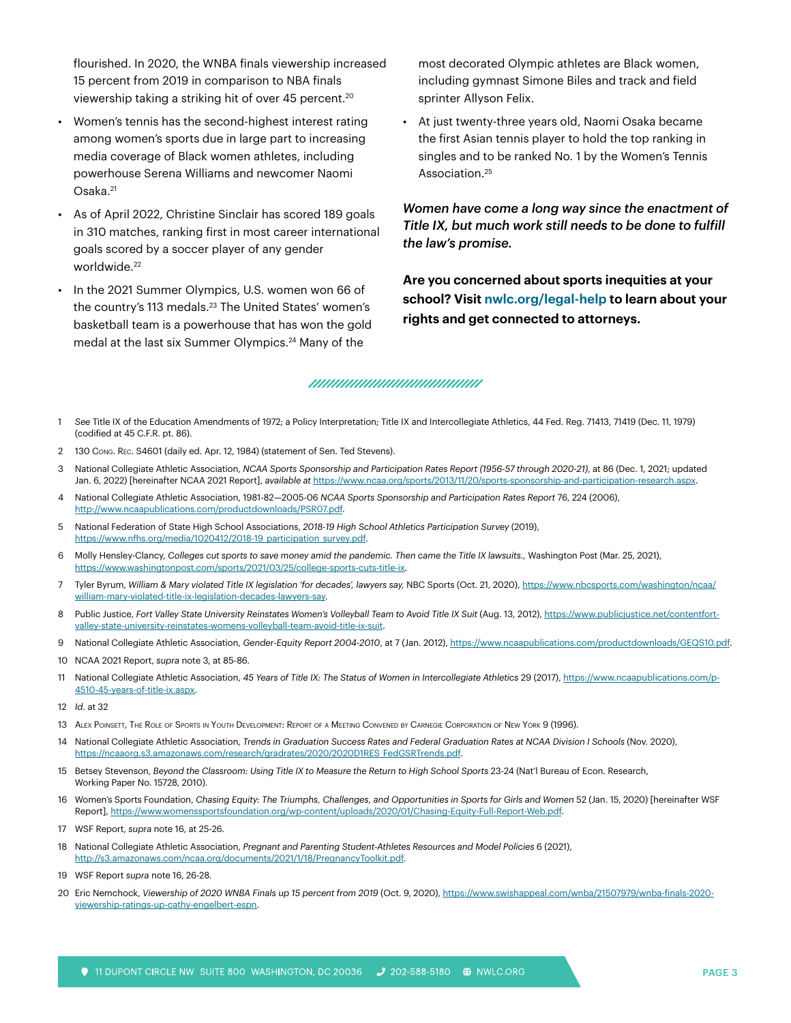flourished. In 2020, the WNBA finals viewership increased 15 percent from 2019 in comparison to NBA finals viewership taking a striking hit of over 45 percent.<sup>20</sup>

- Women's tennis has the second-highest interest rating among women's sports due in large part to increasing media coverage of Black women athletes, including powerhouse Serena Williams and newcomer Naomi Osaka.<sup>21</sup>
- As of April 2022, Christine Sinclair has scored 189 goals in 310 matches, ranking first in most career international goals scored by a soccer player of any gender worldwide.<sup>22</sup>
- In the 2021 Summer Olympics, U.S. women won 66 of the country's 113 medals.<sup>23</sup> The United States' women's basketball team is a powerhouse that has won the gold medal at the last six Summer Olympics.<sup>24</sup> Many of the

most decorated Olympic athletes are Black women, including gymnast Simone Biles and track and field sprinter Allyson Felix.

• At just twenty-three years old, Naomi Osaka became the first Asian tennis player to hold the top ranking in singles and to be ranked No. 1 by the Women's Tennis Association.25

*Women have come a long way since the enactment of Title IX, but much work still needs to be done to fulfill the law's promise.*

**Are you concerned about sports inequities at your school? Visit [nwlc.org/legal-help](https://nwlc.org/legal-help/) to learn about your rights and get connected to attorneys.**

#### ,,,,,,,,,,,,,,,,,,,,,,,,,,,,,,,,,,

- 1 *See* Title IX of the Education Amendments of 1972; a Policy Interpretation; Title IX and Intercollegiate Athletics, 44 Fed. Reg. 71413, 71419 (Dec. 11, 1979) (codified at 45 C.F.R. pt. 86).
- 2 130 Cong. Rec. S4601 (daily ed. Apr. 12, 1984) (statement of Sen. Ted Stevens).
- 3 National Collegiate Athletic Association, *NCAA Sports Sponsorship and Participation Rates Report (1956-57 through 2020-21)*, at 86 (Dec. 1, 2021; updated Jan. 6, 2022) [hereinafter NCAA 2021 Report], *available at* [https://www.ncaa.org/sports/2013/11/20/sports-sponsorship-and-participation-research.aspx.](https://www.ncaa.org/sports/2013/11/20/sports-sponsorship-and-participation-research.aspx)
- 4 National Collegiate Athletic Association, 1981-82—2005-06 *NCAA Sports Sponsorship and Participation Rates Report* 76, 224 (2006), <http://www.ncaapublications.com/productdownloads/PSR07.pdf>.
- 5 National Federation of State High School Associations, *2018-19 High School Athletics Participation Survey* (2019), [https://www.nfhs.org/media/1020412/2018-19\\_participation\\_survey.pdf](https://www.nfhs.org/media/1020412/2018-19_participation_survey.pdf).
- 6 Molly Hensley-Clancy, *Colleges cut sports to save money amid the pandemic. Then came the Title IX lawsuits.,* Washington Post (Mar. 25, 2021), <https://www.washingtonpost.com/sports/2021/03/25/college-sports-cuts-title-ix>.
- 7 Tyler Byrum, *William & Mary violated Title IX legislation 'for decades', lawyers say,* NBC Sports (Oct. 21, 2020), [https://www.nbcsports.com/washington/ncaa/](https://www.nbcsports.com/washington/ncaa/william-mary-violated-title-ix-legislation-decades-lawyers-say) [william-mary-violated-title-ix-legislation-decades-lawyers-say.](https://www.nbcsports.com/washington/ncaa/william-mary-violated-title-ix-legislation-decades-lawyers-say)
- 8 Public Justice, Fort Valley State University Reinstates Women's Volleyball Team to Avoid Title IX Suit (Aug. 13, 2012), https://www.publiciustice.net/contentfort[valley-state-university-reinstates-womens-volleyball-team-avoid-title-ix-suit](https://www.publicjustice.net/contentfort-valley-state-university-reinstates-womens-volleyball-team-avoid-title-ix-suit).
- 9 National Collegiate Athletic Association, *Gender-Equity Report 2004-2010*, at 7 (Jan. 2012), [https://www.ncaapublications.com/productdownloads/GEQS10.pdf.](https://www.ncaapublications.com/productdownloads/GEQS10.pdf)
- 10 NCAA 2021 Report, *supra* note 3, at 85-86.
- 11 National Collegiate Athletic Association, *45 Years of Title IX: The Status of Women in Intercollegiate Athletics* 29 (2017), [https://www.ncaapublications.com/p-](https://www.ncaapublications.com/p-4510-45-years-of-title-ix.aspx)[4510-45-years-of-title-ix.aspx.](https://www.ncaapublications.com/p-4510-45-years-of-title-ix.aspx)
- 12 *Id*. at 32
- 13 Alex Poinsett, The Role of Sports in Youth Development: Report of <sup>a</sup> Meeting Convened by Carnegie Corporation of New York 9 (1996).
- 14 National Collegiate Athletic Association, *Trends in Graduation Success Rates and Federal Graduation Rates at NCAA Division I Schools* (Nov. 2020), [https://ncaaorg.s3.amazonaws.com/research/gradrates/2020/2020D1RES\\_FedGSRTrends.pdf](https://ncaaorg.s3.amazonaws.com/research/gradrates/2020/2020D1RES_FedGSRTrends.pdf).
- 15 Betsey Stevenson, *Beyond the Classroom: Using Title IX to Measure the Return to High School Sports 23-24 (Nat'l Bureau of Econ. Research,* Working Paper No. 15728, 2010).
- 16 Women's Sports Foundation, *Chasing Equity: The Triumphs, Challenges, and Opportunities in Sports for Girls and Women* 52 (Jan. 15, 2020) [hereinafter WSF Report], [https://www.womenssportsfoundation.org/wp-content/uploads/2020/01/Chasing-Equity-Full-Report-Web.pdf.](https://www.womenssportsfoundation.org/wp-content/uploads/2020/01/Chasing-Equity-Full-Report-Web.pdf)
- 17 WSF Report, *supra* note 16, at 25-26.
- 18 National Collegiate Athletic Association, *Pregnant and Parenting Student-Athletes Resources and Model Policies* 6 (2021), <http://s3.amazonaws.com/ncaa.org/documents/2021/1/18/PregnancyToolkit.pdf>.
- 19 WSF Report *supra* note 16, 26-28.
- 20 Eric Nemchock, *Viewership of 2020 WNBA Finals up 15 percent from 2019* (Oct. 9, 2020), [https://www.swishappeal.com/wnba/21507979/wnba-finals-2020](https://www.swishappeal.com/wnba/21507979/wnba-finals-2020-viewership-ratings-up-cathy-engelbert-espn) [viewership-ratings-up-cathy-engelbert-espn.](https://www.swishappeal.com/wnba/21507979/wnba-finals-2020-viewership-ratings-up-cathy-engelbert-espn)